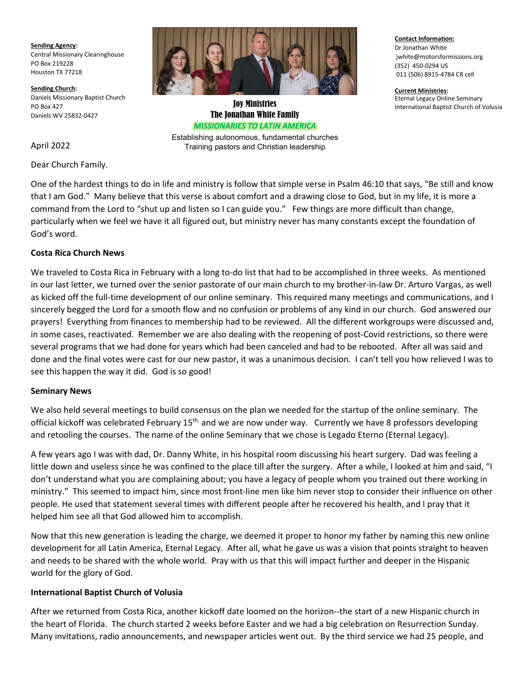**Sending Agency:** Central Missionary Clearinghouse PO Box 219228 Houston TX 77218

**Sending Church:** Daniels Missionary Baptist Church PO Box 427 Daniels WV 25832-0427

The Jonathan White Family *MISSIONARIES TO LATIN AMERICA*

Establishing autonomous, fundamental churches Training pastors and Christian leadership

**Contact Information:** Dr Jonathan White jwhite@motorsformissions.org (352) 450-0294 US 011 (506) 8915-4784 CR cell

**Current Ministries:** Eternal Legacy Online Seminary **IOY Ministries**<br>International Baptist Church of Volusia Joy Ministries

April 2022

Dear Church Family.

One of the hardest things to do in life and ministry is follow that simple verse in Psalm 46:10 that says, "Be still and know that I am God." Many believe that this verse is about comfort and a drawing close to God, but in my life, it is more a command from the Lord to "shut up and listen so I can guide you." Few things are more difficult than change, particularly when we feel we have it all figured out, but ministry never has many constants except the foundation of God's word.

## **Costa Rica Church News**

We traveled to Costa Rica in February with a long to-do list that had to be accomplished in three weeks. As mentioned in our last letter, we turned over the senior pastorate of our main church to my brother-in-law Dr. Arturo Vargas, as well as kicked off the full-time development of our online seminary. This required many meetings and communications, and I sincerely begged the Lord for a smooth flow and no confusion or problems of any kind in our church. God answered our prayers! Everything from finances to membership had to be reviewed. All the different workgroups were discussed and, in some cases, reactivated. Remember we are also dealing with the reopening of post-Covid restrictions, so there were several programs that we had done for years which had been canceled and had to be rebooted. After all was said and done and the final votes were cast for our new pastor, it was a unanimous decision. I can't tell you how relieved I was to see this happen the way it did. God is so good!

### **Seminary News**

We also held several meetings to build consensus on the plan we needed for the startup of the online seminary. The official kickoff was celebrated February 15<sup>th,</sup> and we are now under way. Currently we have 8 professors developing and retooling the courses. The name of the online Seminary that we chose is Legado Eterno (Eternal Legacy).

A few years ago I was with dad, Dr. Danny White, in his hospital room discussing his heart surgery. Dad was feeling a little down and useless since he was confined to the place till after the surgery. After a while, I looked at him and said, "I don't understand what you are complaining about; you have a legacy of people whom you trained out there working in ministry." This seemed to impact him, since most front-line men like him never stop to consider their influence on other people. He used that statement several times with different people after he recovered his health, and I pray that it helped him see all that God allowed him to accomplish.

Now that this new generation is leading the charge, we deemed it proper to honor my father by naming this new online development for all Latin America, Eternal Legacy. After all, what he gave us was a vision that points straight to heaven and needs to be shared with the whole world. Pray with us that this will impact further and deeper in the Hispanic world for the glory of God.

### **International Baptist Church of Volusia**

After we returned from Costa Rica, another kickoff date loomed on the horizon--the start of a new Hispanic church in the heart of Florida. The church started 2 weeks before Easter and we had a big celebration on Resurrection Sunday. Many invitations, radio announcements, and newspaper articles went out. By the third service we had 25 people, and